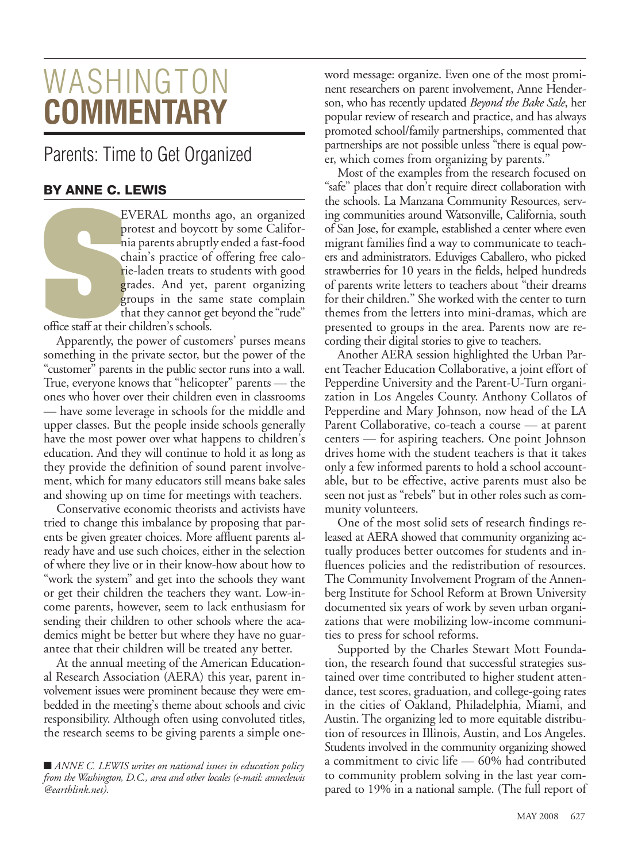# WASHINGTON **COMMENTARY**

# Parents: Time to Get Organized

## **BY ANNE C. LEWIS**

**S** EVERAL months ago, an organized protest and boycott by some California parents abruptly ended a fast-food chain's practice of offering free calorie-laden treats to students with good grades. And yet, parent organizing groups in the same state complain that they cannot get beyond the "rude"

office staff at their children's schools.

Apparently, the power of customers' purses means something in the private sector, but the power of the "customer" parents in the public sector runs into a wall. True, everyone knows that "helicopter" parents — the ones who hover over their children even in classrooms — have some leverage in schools for the middle and upper classes. But the people inside schools generally have the most power over what happens to children's education. And they will continue to hold it as long as they provide the definition of sound parent involvement, which for many educators still means bake sales and showing up on time for meetings with teachers.

Conservative economic theorists and activists have tried to change this imbalance by proposing that parents be given greater choices. More affluent parents already have and use such choices, either in the selection of where they live or in their know-how about how to "work the system" and get into the schools they want or get their children the teachers they want. Low-income parents, however, seem to lack enthusiasm for sending their children to other schools where the academics might be better but where they have no guarantee that their children will be treated any better.

At the annual meeting of the American Educational Research Association (AERA) this year, parent involvement issues were prominent because they were embedded in the meeting's theme about schools and civic responsibility. Although often using convoluted titles, the research seems to be giving parents a simple oneword message: organize. Even one of the most prominent researchers on parent involvement, Anne Henderson, who has recently updated *Beyond the Bake Sale*, her popular review of research and practice, and has always promoted school/family partnerships, commented that partnerships are not possible unless "there is equal power, which comes from organizing by parents."

Most of the examples from the research focused on "safe" places that don't require direct collaboration with the schools. La Manzana Community Resources, serving communities around Watsonville, California, south of San Jose, for example, established a center where even migrant families find a way to communicate to teachers and administrators. Eduviges Caballero, who picked strawberries for 10 years in the fields, helped hundreds of parents write letters to teachers about "their dreams for their children." She worked with the center to turn themes from the letters into mini-dramas, which are presented to groups in the area. Parents now are recording their digital stories to give to teachers.

Another AERA session highlighted the Urban Parent Teacher Education Collaborative, a joint effort of Pepperdine University and the Parent-U-Turn organization in Los Angeles County. Anthony Collatos of Pepperdine and Mary Johnson, now head of the LA Parent Collaborative, co-teach a course — at parent centers — for aspiring teachers. One point Johnson drives home with the student teachers is that it takes only a few informed parents to hold a school accountable, but to be effective, active parents must also be seen not just as "rebels" but in other roles such as community volunteers.

One of the most solid sets of research findings released at AERA showed that community organizing actually produces better outcomes for students and influences policies and the redistribution of resources. The Community Involvement Program of the Annenberg Institute for School Reform at Brown University documented six years of work by seven urban organizations that were mobilizing low-income communities to press for school reforms.

Supported by the Charles Stewart Mott Foundation, the research found that successful strategies sustained over time contributed to higher student attendance, test scores, graduation, and college-going rates in the cities of Oakland, Philadelphia, Miami, and Austin. The organizing led to more equitable distribution of resources in Illinois, Austin, and Los Angeles. Students involved in the community organizing showed a commitment to civic life — 60% had contributed to community problem solving in the last year compared to 19% in a national sample. (The full report of

<sup>■</sup> *ANNE C. LEWIS writes on national issues in education policy from the Washington, D.C., area and other locales (e-mail: anneclewis @earthlink.net).*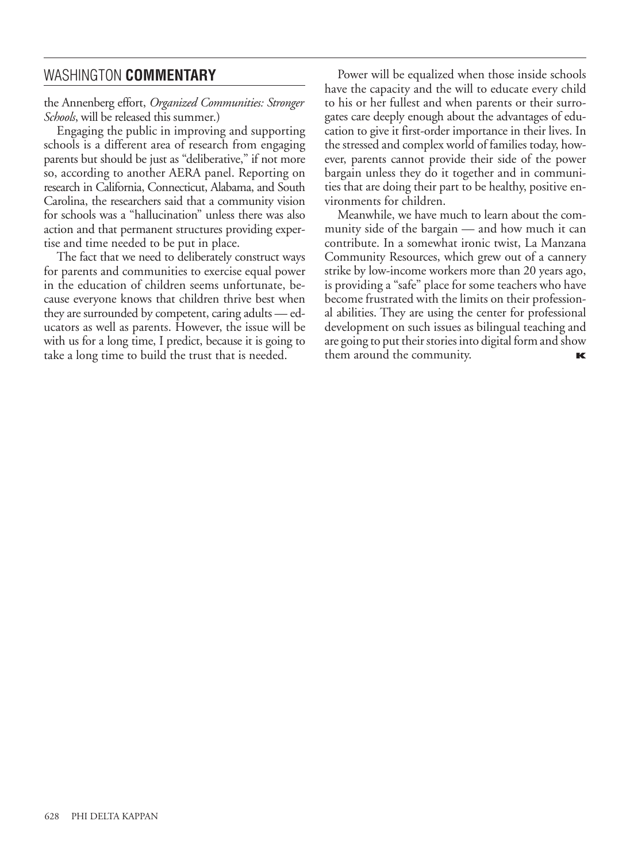## WASHINGTON **COMMENTARY**

the Annenberg effort, *Organized Communities: Stronger Schools*, will be released this summer.)

Engaging the public in improving and supporting schools is a different area of research from engaging parents but should be just as "deliberative," if not more so, according to another AERA panel. Reporting on research in California, Connecticut, Alabama, and South Carolina, the researchers said that a community vision for schools was a "hallucination" unless there was also action and that permanent structures providing expertise and time needed to be put in place.

The fact that we need to deliberately construct ways for parents and communities to exercise equal power in the education of children seems unfortunate, because everyone knows that children thrive best when they are surrounded by competent, caring adults — educators as well as parents. However, the issue will be with us for a long time, I predict, because it is going to take a long time to build the trust that is needed.

Power will be equalized when those inside schools have the capacity and the will to educate every child to his or her fullest and when parents or their surrogates care deeply enough about the advantages of education to give it first-order importance in their lives. In the stressed and complex world of families today, however, parents cannot provide their side of the power bargain unless they do it together and in communities that are doing their part to be healthy, positive environments for children.

Meanwhile, we have much to learn about the community side of the bargain — and how much it can contribute. In a somewhat ironic twist, La Manzana Community Resources, which grew out of a cannery strike by low-income workers more than 20 years ago, is providing a "safe" place for some teachers who have become frustrated with the limits on their professional abilities. They are using the center for professional development on such issues as bilingual teaching and are going to put their stories into digital form and show them around the community. **K**